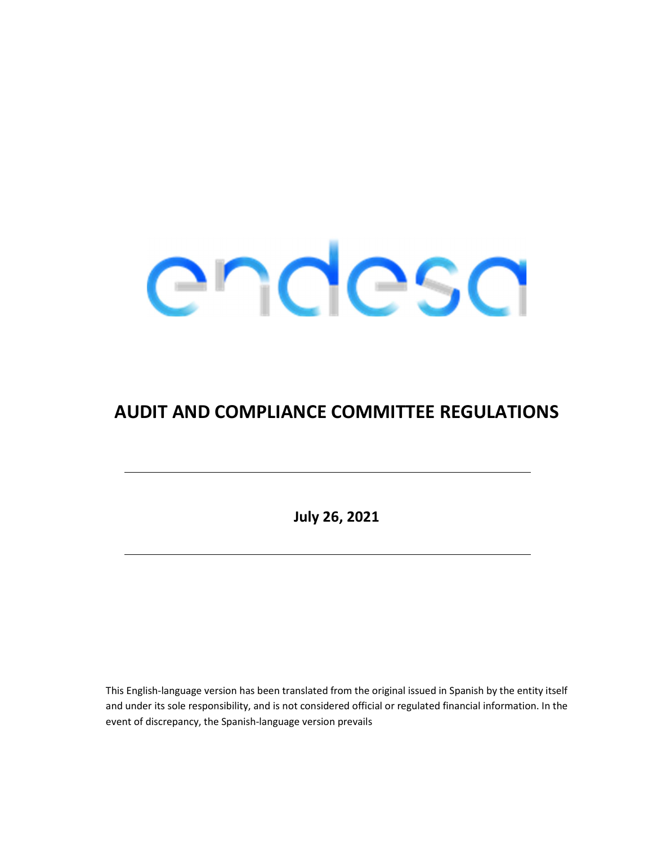

# AUDIT AND COMPLIANCE COMMITTEE REGULATIONS

July 26, 2021

This English-language version has been translated from the original issued in Spanish by the entity itself and under its sole responsibility, and is not considered official or regulated financial information. In the event of discrepancy, the Spanish-language version prevails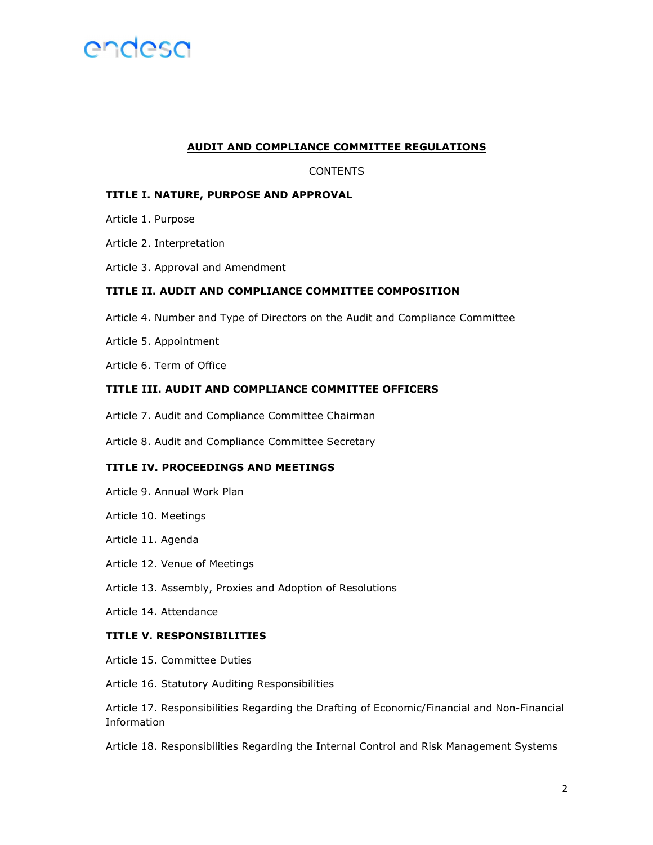

#### AUDIT AND COMPLIANCE COMMITTEE REGULATIONS

### CONTENTS

#### TITLE I. NATURE, PURPOSE AND APPROVAL

- Article 1. Purpose
- Article 2. Interpretation
- Article 3. Approval and Amendment

### TITLE II. AUDIT AND COMPLIANCE COMMITTEE COMPOSITION

- Article 4. Number and Type of Directors on the Audit and Compliance Committee
- Article 5. Appointment
- Article 6. Term of Office

#### TITLE III. AUDIT AND COMPLIANCE COMMITTEE OFFICERS

- Article 7. Audit and Compliance Committee Chairman
- Article 8. Audit and Compliance Committee Secretary

#### TITLE IV. PROCEEDINGS AND MEETINGS

- Article 9. Annual Work Plan
- Article 10. Meetings
- Article 11. Agenda
- Article 12. Venue of Meetings
- Article 13. Assembly, Proxies and Adoption of Resolutions
- Article 14. Attendance

### TITLE V. RESPONSIBILITIES

Article 15. Committee Duties

Article 16. Statutory Auditing Responsibilities

Article 17. Responsibilities Regarding the Drafting of Economic/Financial and Non-Financial Information

Article 18. Responsibilities Regarding the Internal Control and Risk Management Systems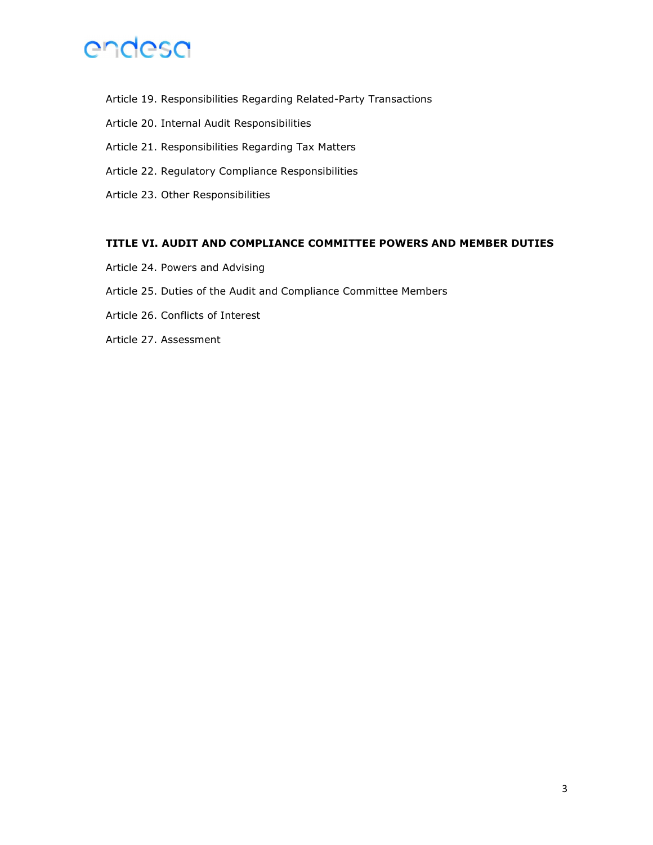

- Article 19. Responsibilities Regarding Related-Party Transactions
- Article 20. Internal Audit Responsibilities
- Article 21. Responsibilities Regarding Tax Matters
- Article 22. Regulatory Compliance Responsibilities
- Article 23. Other Responsibilities

### TITLE VI. AUDIT AND COMPLIANCE COMMITTEE POWERS AND MEMBER DUTIES

- Article 24. Powers and Advising
- Article 25. Duties of the Audit and Compliance Committee Members
- Article 26. Conflicts of Interest
- Article 27. Assessment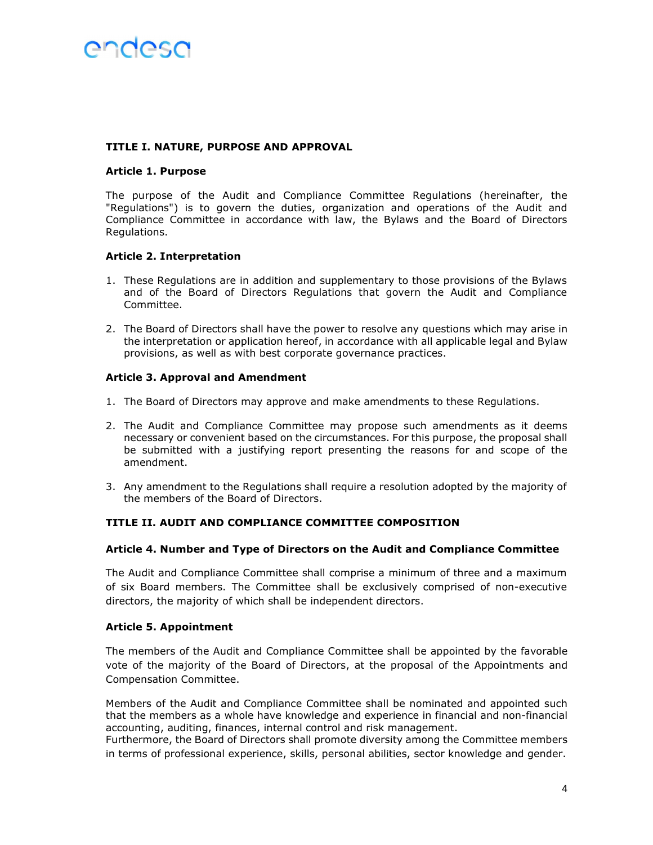#### TITLE I. NATURE, PURPOSE AND APPROVAL

#### Article 1. Purpose

The purpose of the Audit and Compliance Committee Regulations (hereinafter, the "Regulations") is to govern the duties, organization and operations of the Audit and Compliance Committee in accordance with law, the Bylaws and the Board of Directors Regulations.

### Article 2. Interpretation

- 1. These Regulations are in addition and supplementary to those provisions of the Bylaws and of the Board of Directors Regulations that govern the Audit and Compliance Committee.
- 2. The Board of Directors shall have the power to resolve any questions which may arise in the interpretation or application hereof, in accordance with all applicable legal and Bylaw provisions, as well as with best corporate governance practices.

### Article 3. Approval and Amendment

- 1. The Board of Directors may approve and make amendments to these Regulations.
- 2. The Audit and Compliance Committee may propose such amendments as it deems necessary or convenient based on the circumstances. For this purpose, the proposal shall be submitted with a justifying report presenting the reasons for and scope of the amendment.
- 3. Any amendment to the Regulations shall require a resolution adopted by the majority of the members of the Board of Directors.

# TITLE II. AUDIT AND COMPLIANCE COMMITTEE COMPOSITION

# Article 4. Number and Type of Directors on the Audit and Compliance Committee

The Audit and Compliance Committee shall comprise a minimum of three and a maximum of six Board members. The Committee shall be exclusively comprised of non-executive directors, the majority of which shall be independent directors.

# Article 5. Appointment

The members of the Audit and Compliance Committee shall be appointed by the favorable vote of the majority of the Board of Directors, at the proposal of the Appointments and Compensation Committee.

Members of the Audit and Compliance Committee shall be nominated and appointed such that the members as a whole have knowledge and experience in financial and non-financial accounting, auditing, finances, internal control and risk management.

Furthermore, the Board of Directors shall promote diversity among the Committee members in terms of professional experience, skills, personal abilities, sector knowledge and gender.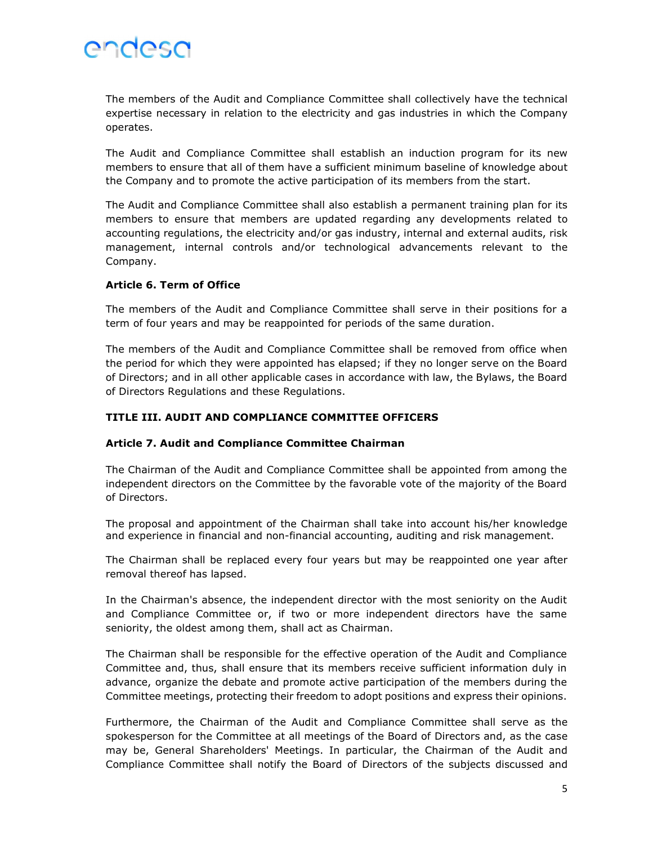The members of the Audit and Compliance Committee shall collectively have the technical expertise necessary in relation to the electricity and gas industries in which the Company operates.

The Audit and Compliance Committee shall establish an induction program for its new members to ensure that all of them have a sufficient minimum baseline of knowledge about the Company and to promote the active participation of its members from the start.

The Audit and Compliance Committee shall also establish a permanent training plan for its members to ensure that members are updated regarding any developments related to accounting regulations, the electricity and/or gas industry, internal and external audits, risk management, internal controls and/or technological advancements relevant to the Company.

# Article 6. Term of Office

The members of the Audit and Compliance Committee shall serve in their positions for a term of four years and may be reappointed for periods of the same duration.

The members of the Audit and Compliance Committee shall be removed from office when the period for which they were appointed has elapsed; if they no longer serve on the Board of Directors; and in all other applicable cases in accordance with law, the Bylaws, the Board of Directors Regulations and these Regulations.

# TITLE III. AUDIT AND COMPLIANCE COMMITTEE OFFICERS

# Article 7. Audit and Compliance Committee Chairman

The Chairman of the Audit and Compliance Committee shall be appointed from among the independent directors on the Committee by the favorable vote of the majority of the Board of Directors.

The proposal and appointment of the Chairman shall take into account his/her knowledge and experience in financial and non-financial accounting, auditing and risk management.

The Chairman shall be replaced every four years but may be reappointed one year after removal thereof has lapsed.

In the Chairman's absence, the independent director with the most seniority on the Audit and Compliance Committee or, if two or more independent directors have the same seniority, the oldest among them, shall act as Chairman.

The Chairman shall be responsible for the effective operation of the Audit and Compliance Committee and, thus, shall ensure that its members receive sufficient information duly in advance, organize the debate and promote active participation of the members during the Committee meetings, protecting their freedom to adopt positions and express their opinions.

Furthermore, the Chairman of the Audit and Compliance Committee shall serve as the spokesperson for the Committee at all meetings of the Board of Directors and, as the case may be, General Shareholders' Meetings. In particular, the Chairman of the Audit and Compliance Committee shall notify the Board of Directors of the subjects discussed and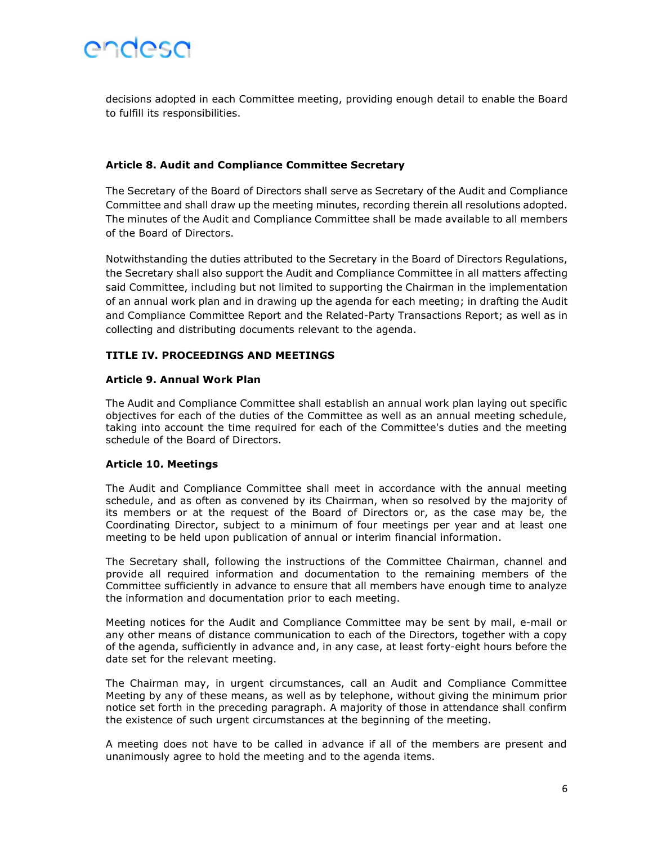

decisions adopted in each Committee meeting, providing enough detail to enable the Board to fulfill its responsibilities.

#### Article 8. Audit and Compliance Committee Secretary

The Secretary of the Board of Directors shall serve as Secretary of the Audit and Compliance Committee and shall draw up the meeting minutes, recording therein all resolutions adopted. The minutes of the Audit and Compliance Committee shall be made available to all members of the Board of Directors.

Notwithstanding the duties attributed to the Secretary in the Board of Directors Regulations, the Secretary shall also support the Audit and Compliance Committee in all matters affecting said Committee, including but not limited to supporting the Chairman in the implementation of an annual work plan and in drawing up the agenda for each meeting; in drafting the Audit and Compliance Committee Report and the Related-Party Transactions Report; as well as in collecting and distributing documents relevant to the agenda.

#### TITLE IV. PROCEEDINGS AND MEETINGS

#### Article 9. Annual Work Plan

The Audit and Compliance Committee shall establish an annual work plan laying out specific objectives for each of the duties of the Committee as well as an annual meeting schedule, taking into account the time required for each of the Committee's duties and the meeting schedule of the Board of Directors.

#### Article 10. Meetings

The Audit and Compliance Committee shall meet in accordance with the annual meeting schedule, and as often as convened by its Chairman, when so resolved by the majority of its members or at the request of the Board of Directors or, as the case may be, the Coordinating Director, subject to a minimum of four meetings per year and at least one meeting to be held upon publication of annual or interim financial information.

The Secretary shall, following the instructions of the Committee Chairman, channel and provide all required information and documentation to the remaining members of the Committee sufficiently in advance to ensure that all members have enough time to analyze the information and documentation prior to each meeting.

Meeting notices for the Audit and Compliance Committee may be sent by mail, e-mail or any other means of distance communication to each of the Directors, together with a copy of the agenda, sufficiently in advance and, in any case, at least forty-eight hours before the date set for the relevant meeting.

The Chairman may, in urgent circumstances, call an Audit and Compliance Committee Meeting by any of these means, as well as by telephone, without giving the minimum prior notice set forth in the preceding paragraph. A majority of those in attendance shall confirm the existence of such urgent circumstances at the beginning of the meeting.

A meeting does not have to be called in advance if all of the members are present and unanimously agree to hold the meeting and to the agenda items.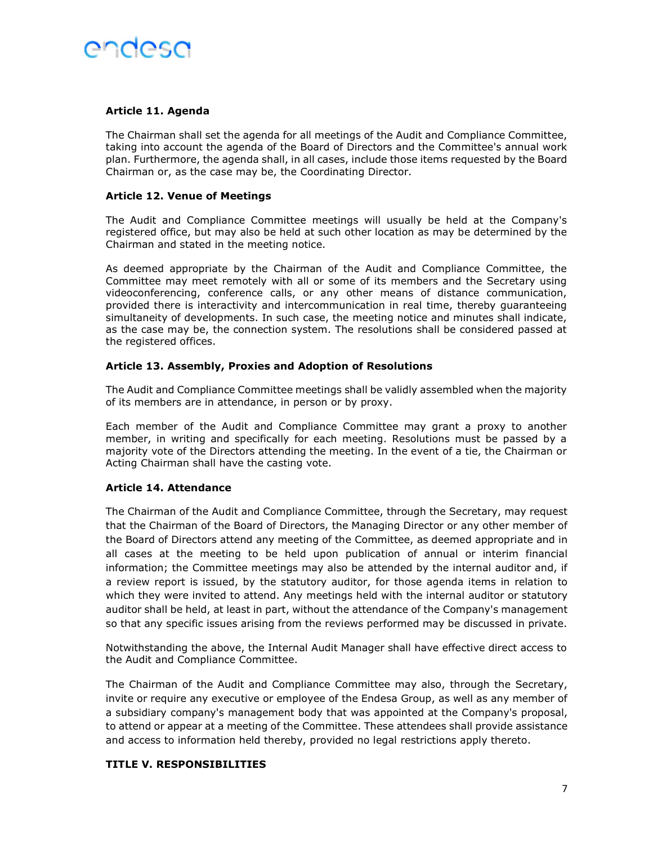# Article 11. Agenda

The Chairman shall set the agenda for all meetings of the Audit and Compliance Committee, taking into account the agenda of the Board of Directors and the Committee's annual work plan. Furthermore, the agenda shall, in all cases, include those items requested by the Board Chairman or, as the case may be, the Coordinating Director.

#### Article 12. Venue of Meetings

The Audit and Compliance Committee meetings will usually be held at the Company's registered office, but may also be held at such other location as may be determined by the Chairman and stated in the meeting notice.

As deemed appropriate by the Chairman of the Audit and Compliance Committee, the Committee may meet remotely with all or some of its members and the Secretary using videoconferencing, conference calls, or any other means of distance communication, provided there is interactivity and intercommunication in real time, thereby guaranteeing simultaneity of developments. In such case, the meeting notice and minutes shall indicate, as the case may be, the connection system. The resolutions shall be considered passed at the registered offices.

### Article 13. Assembly, Proxies and Adoption of Resolutions

The Audit and Compliance Committee meetings shall be validly assembled when the majority of its members are in attendance, in person or by proxy.

Each member of the Audit and Compliance Committee may grant a proxy to another member, in writing and specifically for each meeting. Resolutions must be passed by a majority vote of the Directors attending the meeting. In the event of a tie, the Chairman or Acting Chairman shall have the casting vote.

# Article 14. Attendance

The Chairman of the Audit and Compliance Committee, through the Secretary, may request that the Chairman of the Board of Directors, the Managing Director or any other member of the Board of Directors attend any meeting of the Committee, as deemed appropriate and in all cases at the meeting to be held upon publication of annual or interim financial information; the Committee meetings may also be attended by the internal auditor and, if a review report is issued, by the statutory auditor, for those agenda items in relation to which they were invited to attend. Any meetings held with the internal auditor or statutory auditor shall be held, at least in part, without the attendance of the Company's management so that any specific issues arising from the reviews performed may be discussed in private.

Notwithstanding the above, the Internal Audit Manager shall have effective direct access to the Audit and Compliance Committee.

The Chairman of the Audit and Compliance Committee may also, through the Secretary, invite or require any executive or employee of the Endesa Group, as well as any member of a subsidiary company's management body that was appointed at the Company's proposal, to attend or appear at a meeting of the Committee. These attendees shall provide assistance and access to information held thereby, provided no legal restrictions apply thereto.

#### TITLE V. RESPONSIBILITIES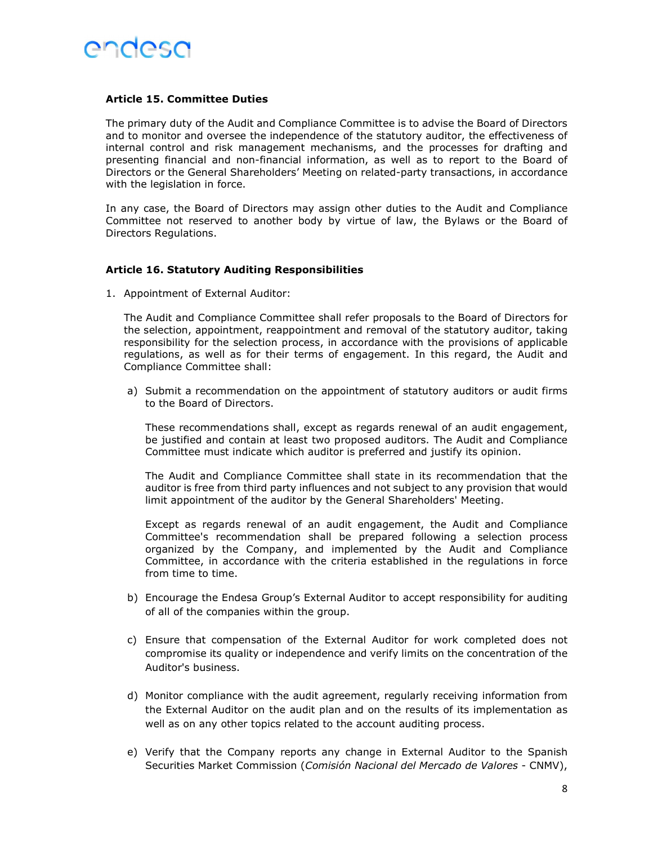

#### Article 15. Committee Duties

The primary duty of the Audit and Compliance Committee is to advise the Board of Directors and to monitor and oversee the independence of the statutory auditor, the effectiveness of internal control and risk management mechanisms, and the processes for drafting and presenting financial and non-financial information, as well as to report to the Board of Directors or the General Shareholders' Meeting on related-party transactions, in accordance with the legislation in force.

In any case, the Board of Directors may assign other duties to the Audit and Compliance Committee not reserved to another body by virtue of law, the Bylaws or the Board of Directors Regulations.

### Article 16. Statutory Auditing Responsibilities

1. Appointment of External Auditor:

The Audit and Compliance Committee shall refer proposals to the Board of Directors for the selection, appointment, reappointment and removal of the statutory auditor, taking responsibility for the selection process, in accordance with the provisions of applicable regulations, as well as for their terms of engagement. In this regard, the Audit and Compliance Committee shall:

a) Submit a recommendation on the appointment of statutory auditors or audit firms to the Board of Directors.

These recommendations shall, except as regards renewal of an audit engagement, be justified and contain at least two proposed auditors. The Audit and Compliance Committee must indicate which auditor is preferred and justify its opinion.

The Audit and Compliance Committee shall state in its recommendation that the auditor is free from third party influences and not subject to any provision that would limit appointment of the auditor by the General Shareholders' Meeting.

Except as regards renewal of an audit engagement, the Audit and Compliance Committee's recommendation shall be prepared following a selection process organized by the Company, and implemented by the Audit and Compliance Committee, in accordance with the criteria established in the regulations in force from time to time.

- b) Encourage the Endesa Group's External Auditor to accept responsibility for auditing of all of the companies within the group.
- c) Ensure that compensation of the External Auditor for work completed does not compromise its quality or independence and verify limits on the concentration of the Auditor's business.
- d) Monitor compliance with the audit agreement, regularly receiving information from the External Auditor on the audit plan and on the results of its implementation as well as on any other topics related to the account auditing process.
- e) Verify that the Company reports any change in External Auditor to the Spanish Securities Market Commission (Comisión Nacional del Mercado de Valores - CNMV),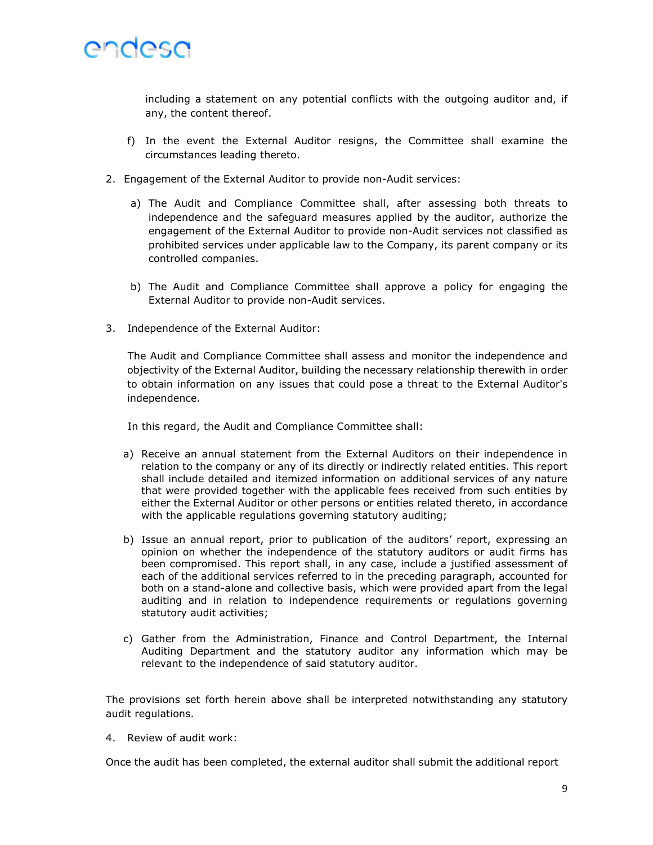

including a statement on any potential conflicts with the outgoing auditor and, if any, the content thereof.

- f) In the event the External Auditor resigns, the Committee shall examine the circumstances leading thereto.
- 2. Engagement of the External Auditor to provide non-Audit services:
	- a) The Audit and Compliance Committee shall, after assessing both threats to independence and the safeguard measures applied by the auditor, authorize the engagement of the External Auditor to provide non-Audit services not classified as prohibited services under applicable law to the Company, its parent company or its controlled companies.
	- b) The Audit and Compliance Committee shall approve a policy for engaging the External Auditor to provide non-Audit services.
- 3. Independence of the External Auditor:

The Audit and Compliance Committee shall assess and monitor the independence and objectivity of the External Auditor, building the necessary relationship therewith in order to obtain information on any issues that could pose a threat to the External Auditor's independence.

In this regard, the Audit and Compliance Committee shall:

- a) Receive an annual statement from the External Auditors on their independence in relation to the company or any of its directly or indirectly related entities. This report shall include detailed and itemized information on additional services of any nature that were provided together with the applicable fees received from such entities by either the External Auditor or other persons or entities related thereto, in accordance with the applicable regulations governing statutory auditing;
- b) Issue an annual report, prior to publication of the auditors' report, expressing an opinion on whether the independence of the statutory auditors or audit firms has been compromised. This report shall, in any case, include a justified assessment of each of the additional services referred to in the preceding paragraph, accounted for both on a stand-alone and collective basis, which were provided apart from the legal auditing and in relation to independence requirements or regulations governing statutory audit activities;
- c) Gather from the Administration, Finance and Control Department, the Internal Auditing Department and the statutory auditor any information which may be relevant to the independence of said statutory auditor.

The provisions set forth herein above shall be interpreted notwithstanding any statutory audit regulations.

4. Review of audit work:

Once the audit has been completed, the external auditor shall submit the additional report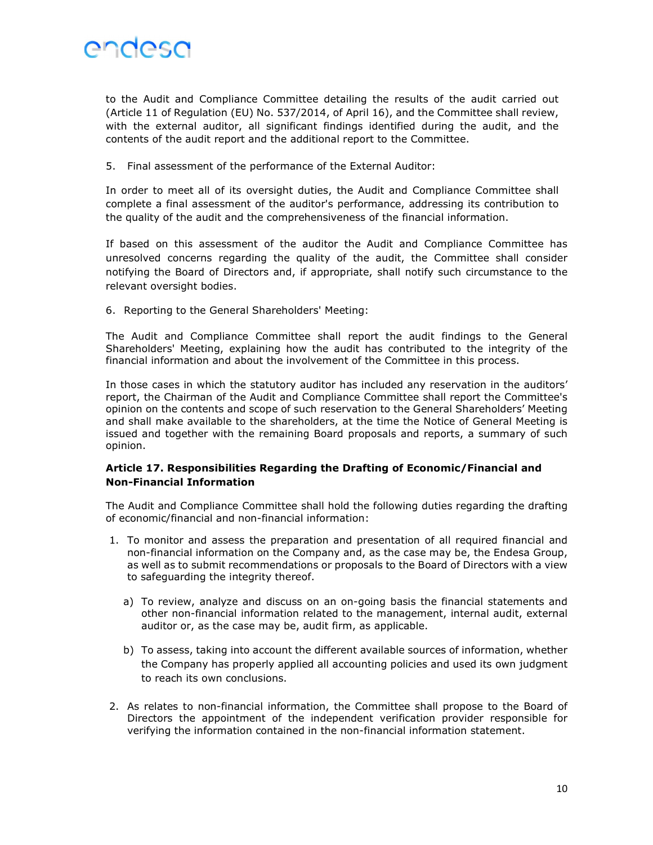

to the Audit and Compliance Committee detailing the results of the audit carried out (Article 11 of Regulation (EU) No. 537/2014, of April 16), and the Committee shall review, with the external auditor, all significant findings identified during the audit, and the contents of the audit report and the additional report to the Committee.

5. Final assessment of the performance of the External Auditor:

In order to meet all of its oversight duties, the Audit and Compliance Committee shall complete a final assessment of the auditor's performance, addressing its contribution to the quality of the audit and the comprehensiveness of the financial information.

If based on this assessment of the auditor the Audit and Compliance Committee has unresolved concerns regarding the quality of the audit, the Committee shall consider notifying the Board of Directors and, if appropriate, shall notify such circumstance to the relevant oversight bodies.

6. Reporting to the General Shareholders' Meeting:

The Audit and Compliance Committee shall report the audit findings to the General Shareholders' Meeting, explaining how the audit has contributed to the integrity of the financial information and about the involvement of the Committee in this process.

In those cases in which the statutory auditor has included any reservation in the auditors' report, the Chairman of the Audit and Compliance Committee shall report the Committee's opinion on the contents and scope of such reservation to the General Shareholders' Meeting and shall make available to the shareholders, at the time the Notice of General Meeting is issued and together with the remaining Board proposals and reports, a summary of such opinion.

# Article 17. Responsibilities Regarding the Drafting of Economic/Financial and Non-Financial Information

The Audit and Compliance Committee shall hold the following duties regarding the drafting of economic/financial and non-financial information:

- 1. To monitor and assess the preparation and presentation of all required financial and non-financial information on the Company and, as the case may be, the Endesa Group, as well as to submit recommendations or proposals to the Board of Directors with a view to safeguarding the integrity thereof.
	- a) To review, analyze and discuss on an on-going basis the financial statements and other non-financial information related to the management, internal audit, external auditor or, as the case may be, audit firm, as applicable.
	- b) To assess, taking into account the different available sources of information, whether the Company has properly applied all accounting policies and used its own judgment to reach its own conclusions.
- 2. As relates to non-financial information, the Committee shall propose to the Board of Directors the appointment of the independent verification provider responsible for verifying the information contained in the non-financial information statement.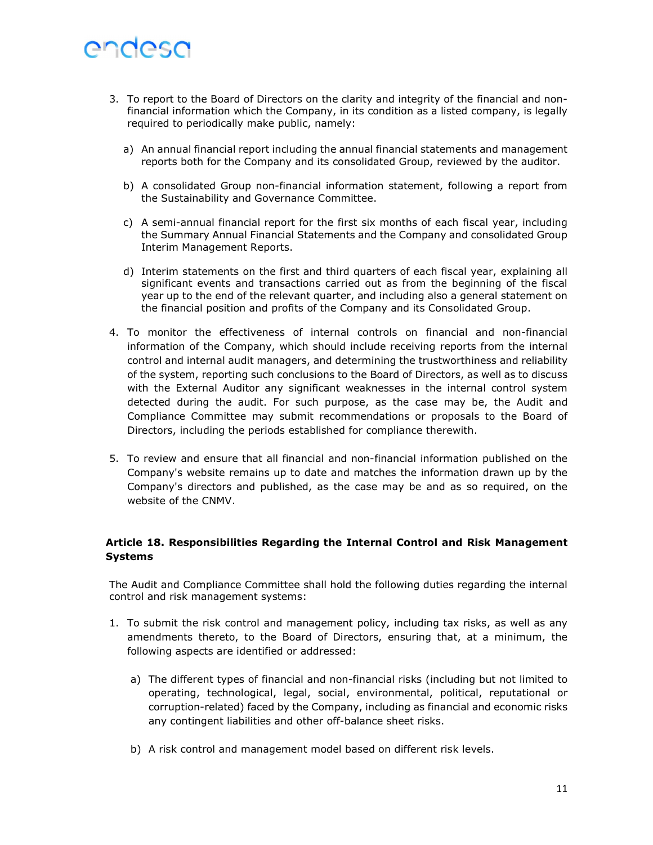- 3. To report to the Board of Directors on the clarity and integrity of the financial and nonfinancial information which the Company, in its condition as a listed company, is legally required to periodically make public, namely:
	- a) An annual financial report including the annual financial statements and management reports both for the Company and its consolidated Group, reviewed by the auditor.
	- b) A consolidated Group non-financial information statement, following a report from the Sustainability and Governance Committee.
	- c) A semi-annual financial report for the first six months of each fiscal year, including the Summary Annual Financial Statements and the Company and consolidated Group Interim Management Reports.
	- d) Interim statements on the first and third quarters of each fiscal year, explaining all significant events and transactions carried out as from the beginning of the fiscal year up to the end of the relevant quarter, and including also a general statement on the financial position and profits of the Company and its Consolidated Group.
- 4. To monitor the effectiveness of internal controls on financial and non-financial information of the Company, which should include receiving reports from the internal control and internal audit managers, and determining the trustworthiness and reliability of the system, reporting such conclusions to the Board of Directors, as well as to discuss with the External Auditor any significant weaknesses in the internal control system detected during the audit. For such purpose, as the case may be, the Audit and Compliance Committee may submit recommendations or proposals to the Board of Directors, including the periods established for compliance therewith.
- 5. To review and ensure that all financial and non-financial information published on the Company's website remains up to date and matches the information drawn up by the Company's directors and published, as the case may be and as so required, on the website of the CNMV.

# Article 18. Responsibilities Regarding the Internal Control and Risk Management Systems

The Audit and Compliance Committee shall hold the following duties regarding the internal control and risk management systems:

- 1. To submit the risk control and management policy, including tax risks, as well as any amendments thereto, to the Board of Directors, ensuring that, at a minimum, the following aspects are identified or addressed:
	- a) The different types of financial and non-financial risks (including but not limited to operating, technological, legal, social, environmental, political, reputational or corruption-related) faced by the Company, including as financial and economic risks any contingent liabilities and other off-balance sheet risks.
	- b) A risk control and management model based on different risk levels.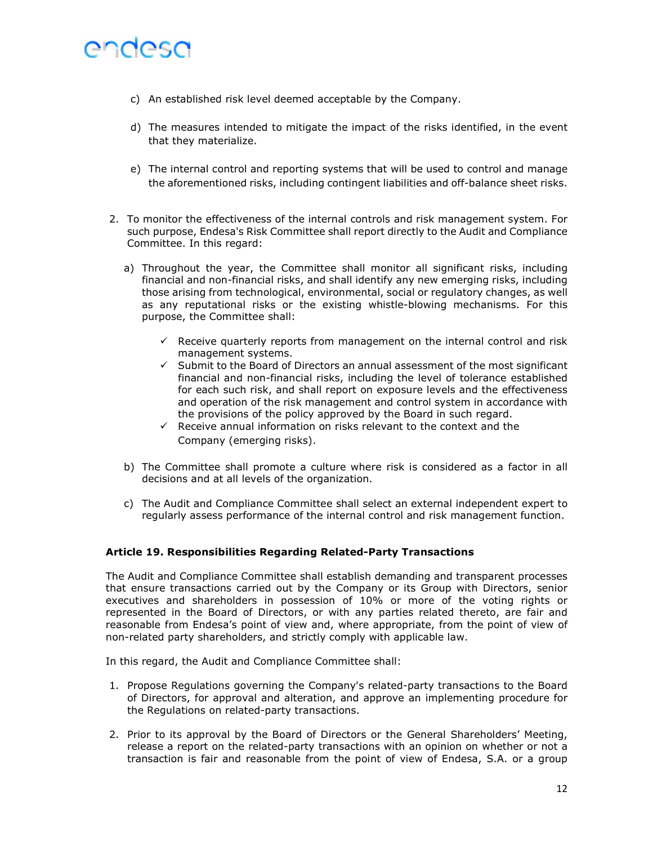- c) An established risk level deemed acceptable by the Company.
- d) The measures intended to mitigate the impact of the risks identified, in the event that they materialize.
- e) The internal control and reporting systems that will be used to control and manage the aforementioned risks, including contingent liabilities and off-balance sheet risks.
- 2. To monitor the effectiveness of the internal controls and risk management system. For such purpose, Endesa's Risk Committee shall report directly to the Audit and Compliance Committee. In this regard:
	- a) Throughout the year, the Committee shall monitor all significant risks, including financial and non-financial risks, and shall identify any new emerging risks, including those arising from technological, environmental, social or regulatory changes, as well as any reputational risks or the existing whistle-blowing mechanisms. For this purpose, the Committee shall:
		- $\checkmark$  Receive quarterly reports from management on the internal control and risk management systems.
		- $\checkmark$  Submit to the Board of Directors an annual assessment of the most significant financial and non-financial risks, including the level of tolerance established for each such risk, and shall report on exposure levels and the effectiveness and operation of the risk management and control system in accordance with the provisions of the policy approved by the Board in such regard.
		- $\checkmark$  Receive annual information on risks relevant to the context and the Company (emerging risks).
	- b) The Committee shall promote a culture where risk is considered as a factor in all decisions and at all levels of the organization.
	- c) The Audit and Compliance Committee shall select an external independent expert to regularly assess performance of the internal control and risk management function.

# Article 19. Responsibilities Regarding Related-Party Transactions

The Audit and Compliance Committee shall establish demanding and transparent processes that ensure transactions carried out by the Company or its Group with Directors, senior executives and shareholders in possession of 10% or more of the voting rights or represented in the Board of Directors, or with any parties related thereto, are fair and reasonable from Endesa's point of view and, where appropriate, from the point of view of non-related party shareholders, and strictly comply with applicable law.

In this regard, the Audit and Compliance Committee shall:

- 1. Propose Regulations governing the Company's related-party transactions to the Board of Directors, for approval and alteration, and approve an implementing procedure for the Regulations on related-party transactions.
- 2. Prior to its approval by the Board of Directors or the General Shareholders' Meeting, release a report on the related-party transactions with an opinion on whether or not a transaction is fair and reasonable from the point of view of Endesa, S.A. or a group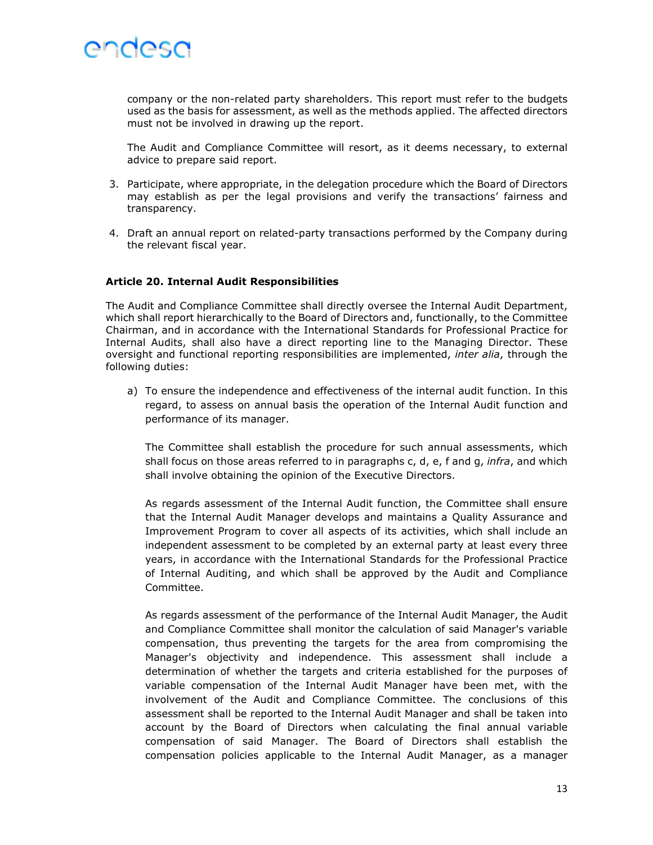

company or the non-related party shareholders. This report must refer to the budgets used as the basis for assessment, as well as the methods applied. The affected directors must not be involved in drawing up the report.

The Audit and Compliance Committee will resort, as it deems necessary, to external advice to prepare said report.

- 3. Participate, where appropriate, in the delegation procedure which the Board of Directors may establish as per the legal provisions and verify the transactions' fairness and transparency.
- 4. Draft an annual report on related-party transactions performed by the Company during the relevant fiscal year.

#### Article 20. Internal Audit Responsibilities

The Audit and Compliance Committee shall directly oversee the Internal Audit Department, which shall report hierarchically to the Board of Directors and, functionally, to the Committee Chairman, and in accordance with the International Standards for Professional Practice for Internal Audits, shall also have a direct reporting line to the Managing Director. These oversight and functional reporting responsibilities are implemented, inter alia, through the following duties:

a) To ensure the independence and effectiveness of the internal audit function. In this regard, to assess on annual basis the operation of the Internal Audit function and performance of its manager.

The Committee shall establish the procedure for such annual assessments, which shall focus on those areas referred to in paragraphs c, d, e, f and g, *infra*, and which shall involve obtaining the opinion of the Executive Directors.

As regards assessment of the Internal Audit function, the Committee shall ensure that the Internal Audit Manager develops and maintains a Quality Assurance and Improvement Program to cover all aspects of its activities, which shall include an independent assessment to be completed by an external party at least every three years, in accordance with the International Standards for the Professional Practice of Internal Auditing, and which shall be approved by the Audit and Compliance Committee.

As regards assessment of the performance of the Internal Audit Manager, the Audit and Compliance Committee shall monitor the calculation of said Manager's variable compensation, thus preventing the targets for the area from compromising the Manager's objectivity and independence. This assessment shall include a determination of whether the targets and criteria established for the purposes of variable compensation of the Internal Audit Manager have been met, with the involvement of the Audit and Compliance Committee. The conclusions of this assessment shall be reported to the Internal Audit Manager and shall be taken into account by the Board of Directors when calculating the final annual variable compensation of said Manager. The Board of Directors shall establish the compensation policies applicable to the Internal Audit Manager, as a manager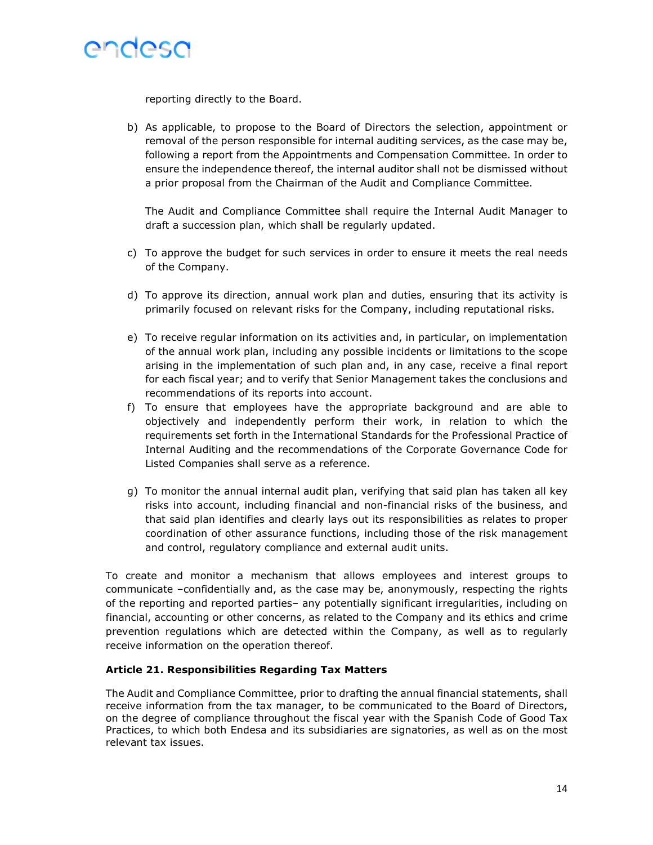

reporting directly to the Board.

b) As applicable, to propose to the Board of Directors the selection, appointment or removal of the person responsible for internal auditing services, as the case may be, following a report from the Appointments and Compensation Committee. In order to ensure the independence thereof, the internal auditor shall not be dismissed without a prior proposal from the Chairman of the Audit and Compliance Committee.

The Audit and Compliance Committee shall require the Internal Audit Manager to draft a succession plan, which shall be regularly updated.

- c) To approve the budget for such services in order to ensure it meets the real needs of the Company.
- d) To approve its direction, annual work plan and duties, ensuring that its activity is primarily focused on relevant risks for the Company, including reputational risks.
- e) To receive regular information on its activities and, in particular, on implementation of the annual work plan, including any possible incidents or limitations to the scope arising in the implementation of such plan and, in any case, receive a final report for each fiscal year; and to verify that Senior Management takes the conclusions and recommendations of its reports into account.
- f) To ensure that employees have the appropriate background and are able to objectively and independently perform their work, in relation to which the requirements set forth in the International Standards for the Professional Practice of Internal Auditing and the recommendations of the Corporate Governance Code for Listed Companies shall serve as a reference.
- g) To monitor the annual internal audit plan, verifying that said plan has taken all key risks into account, including financial and non-financial risks of the business, and that said plan identifies and clearly lays out its responsibilities as relates to proper coordination of other assurance functions, including those of the risk management and control, regulatory compliance and external audit units.

To create and monitor a mechanism that allows employees and interest groups to communicate –confidentially and, as the case may be, anonymously, respecting the rights of the reporting and reported parties– any potentially significant irregularities, including on financial, accounting or other concerns, as related to the Company and its ethics and crime prevention regulations which are detected within the Company, as well as to regularly receive information on the operation thereof.

#### Article 21. Responsibilities Regarding Tax Matters

The Audit and Compliance Committee, prior to drafting the annual financial statements, shall receive information from the tax manager, to be communicated to the Board of Directors, on the degree of compliance throughout the fiscal year with the Spanish Code of Good Tax Practices, to which both Endesa and its subsidiaries are signatories, as well as on the most relevant tax issues.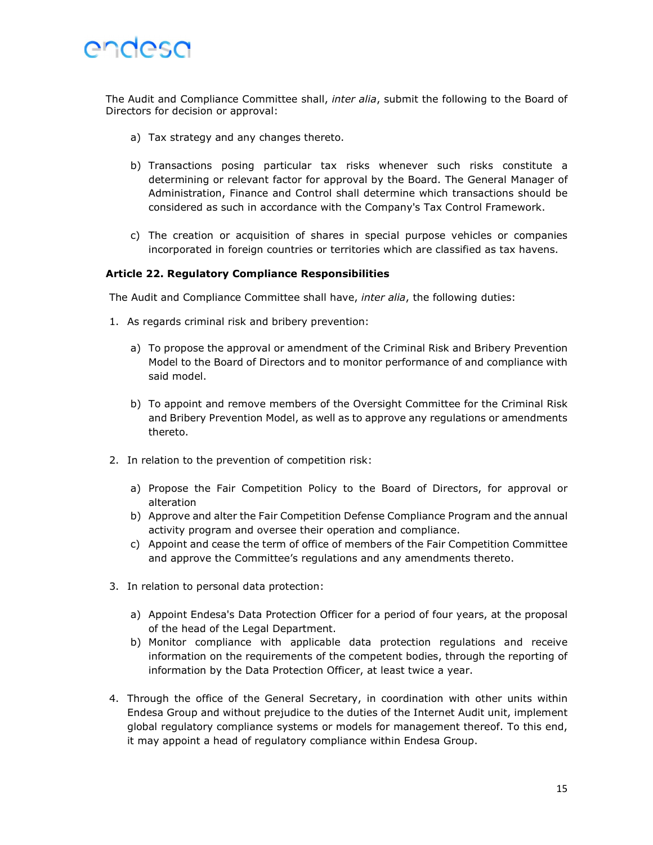

The Audit and Compliance Committee shall, inter alia, submit the following to the Board of Directors for decision or approval:

- a) Tax strategy and any changes thereto.
- b) Transactions posing particular tax risks whenever such risks constitute a determining or relevant factor for approval by the Board. The General Manager of Administration, Finance and Control shall determine which transactions should be considered as such in accordance with the Company's Tax Control Framework.
- c) The creation or acquisition of shares in special purpose vehicles or companies incorporated in foreign countries or territories which are classified as tax havens.

#### Article 22. Regulatory Compliance Responsibilities

The Audit and Compliance Committee shall have, inter alia, the following duties:

- 1. As regards criminal risk and bribery prevention:
	- a) To propose the approval or amendment of the Criminal Risk and Bribery Prevention Model to the Board of Directors and to monitor performance of and compliance with said model.
	- b) To appoint and remove members of the Oversight Committee for the Criminal Risk and Bribery Prevention Model, as well as to approve any regulations or amendments thereto.
- 2. In relation to the prevention of competition risk:
	- a) Propose the Fair Competition Policy to the Board of Directors, for approval or alteration
	- b) Approve and alter the Fair Competition Defense Compliance Program and the annual activity program and oversee their operation and compliance.
	- c) Appoint and cease the term of office of members of the Fair Competition Committee and approve the Committee's regulations and any amendments thereto.
- 3. In relation to personal data protection:
	- a) Appoint Endesa's Data Protection Officer for a period of four years, at the proposal of the head of the Legal Department.
	- b) Monitor compliance with applicable data protection regulations and receive information on the requirements of the competent bodies, through the reporting of information by the Data Protection Officer, at least twice a year.
- 4. Through the office of the General Secretary, in coordination with other units within Endesa Group and without prejudice to the duties of the Internet Audit unit, implement global regulatory compliance systems or models for management thereof. To this end, it may appoint a head of regulatory compliance within Endesa Group.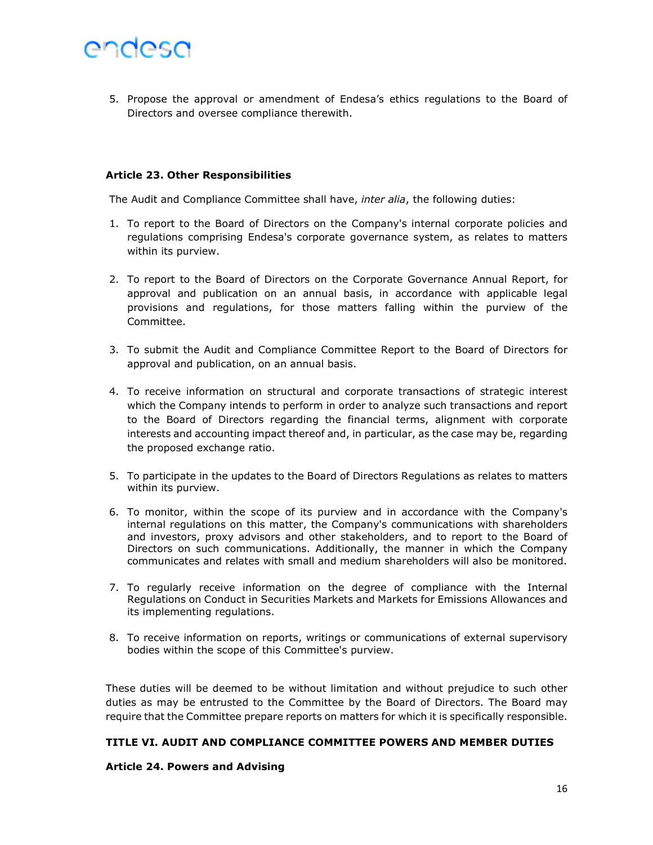5. Propose the approval or amendment of Endesa's ethics regulations to the Board of Directors and oversee compliance therewith.

### Article 23. Other Responsibilities

The Audit and Compliance Committee shall have, inter alia, the following duties:

- 1. To report to the Board of Directors on the Company's internal corporate policies and regulations comprising Endesa's corporate governance system, as relates to matters within its purview.
- 2. To report to the Board of Directors on the Corporate Governance Annual Report, for approval and publication on an annual basis, in accordance with applicable legal provisions and regulations, for those matters falling within the purview of the Committee.
- 3. To submit the Audit and Compliance Committee Report to the Board of Directors for approval and publication, on an annual basis.
- 4. To receive information on structural and corporate transactions of strategic interest which the Company intends to perform in order to analyze such transactions and report to the Board of Directors regarding the financial terms, alignment with corporate interests and accounting impact thereof and, in particular, as the case may be, regarding the proposed exchange ratio.
- 5. To participate in the updates to the Board of Directors Regulations as relates to matters within its purview.
- 6. To monitor, within the scope of its purview and in accordance with the Company's internal regulations on this matter, the Company's communications with shareholders and investors, proxy advisors and other stakeholders, and to report to the Board of Directors on such communications. Additionally, the manner in which the Company communicates and relates with small and medium shareholders will also be monitored.
- 7. To regularly receive information on the degree of compliance with the Internal Regulations on Conduct in Securities Markets and Markets for Emissions Allowances and its implementing regulations.
- 8. To receive information on reports, writings or communications of external supervisory bodies within the scope of this Committee's purview.

These duties will be deemed to be without limitation and without prejudice to such other duties as may be entrusted to the Committee by the Board of Directors. The Board may require that the Committee prepare reports on matters for which it is specifically responsible.

# TITLE VI. AUDIT AND COMPLIANCE COMMITTEE POWERS AND MEMBER DUTIES

# Article 24. Powers and Advising